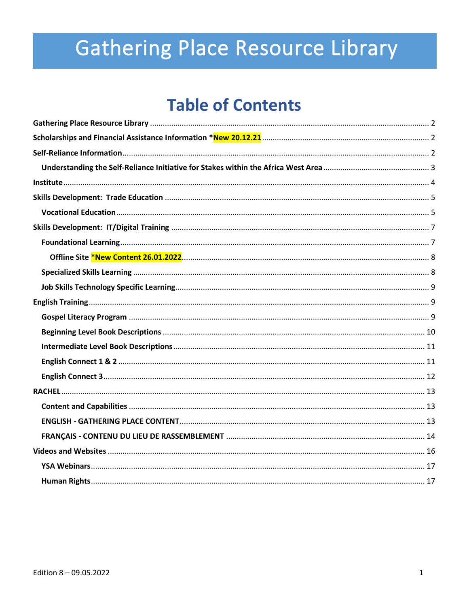# **Gathering Place Resource Library**

# **Table of Contents**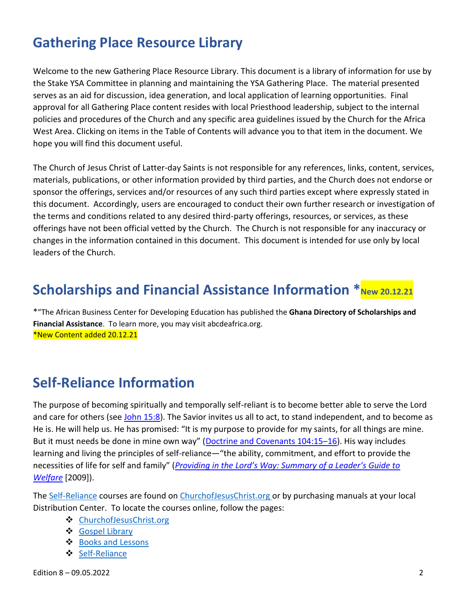# <span id="page-1-0"></span>**Gathering Place Resource Library**

Welcome to the new Gathering Place Resource Library. This document is a library of information for use by the Stake YSA Committee in planning and maintaining the YSA Gathering Place. The material presented serves as an aid for discussion, idea generation, and local application of learning opportunities. Final approval for all Gathering Place content resides with local Priesthood leadership, subject to the internal policies and procedures of the Church and any specific area guidelines issued by the Church for the Africa West Area. Clicking on items in the Table of Contents will advance you to that item in the document. We hope you will find this document useful.

The Church of Jesus Christ of Latter-day Saints is not responsible for any references, links, content, services, materials, publications, or other information provided by third parties, and the Church does not endorse or sponsor the offerings, services and/or resources of any such third parties except where expressly stated in this document. Accordingly, users are encouraged to conduct their own further research or investigation of the terms and conditions related to any desired third-party offerings, resources, or services, as these offerings have not been official vetted by the Church. The Church is not responsible for any inaccuracy or changes in the information contained in this document. This document is intended for use only by local leaders of the Church.

# <span id="page-1-1"></span>**Scholarships and Financial Assistance Information**  $*_{New 20.12.21}$

\*"The African Business Center for Developing Education has published the **Ghana Directory of Scholarships and Financial Assistance**. To learn more, you may visit abcdeafrica.org. \*New Content added 20.12.21

# <span id="page-1-2"></span>**Self-Reliance Information**

The purpose of becoming spiritually and temporally self-reliant is to become better able to serve the Lord and care for others (see John [15:8\)](https://www.churchofjesuschrist.org/study/scriptures/nt/john/15.8?lang=eng#p8). The Savior invites us all to act, to stand independent, and to become as He is. He will help us. He has promised: "It is my purpose to provide for my saints, for all things are mine. But it must needs be done in mine own way" (Doctrine and [Covenants](https://www.churchofjesuschrist.org/study/scriptures/dc-testament/dc/104.15-16?lang=eng#p15) 104:15-16). His way includes learning and living the principles of self-reliance—"the ability, commitment, and effort to provide the necessities of life for self and family" (*Providing in the Lord's Way: [Summary](https://www.churchofjesuschrist.org/study/manual/providing-in-the-lords-way-summary/providing-in-the-lords-way-summary?lang=eng¶=3#p3) of a Leader's Guide to [Welfare](https://www.churchofjesuschrist.org/study/manual/providing-in-the-lords-way-summary/providing-in-the-lords-way-summary?lang=eng¶=3#p3)* [2009]).

The [Self-Reliance](https://www.churchofjesuschrist.org/self-reliance?lang=eng) courses are found on [ChurchofJesusChrist.org o](https://www.churchofjesuschrist.org/self-reliance?lang=eng)r by purchasing manuals at your local Distribution Center. To locate the courses online, follow the pages:

- ❖ [ChurchofJesusChrist.org](https://www.churchofjesuschrist.org/?lang=eng)
- ❖ [Gospel Library](https://www.churchofjesuschrist.org/study/lib?lang=eng&platform=web)
- ❖ [Books and Lessons](https://www.churchofjesuschrist.org/study/books-and-lessons?lang=eng)
- ❖ [Self-Reliance](https://d.docs.live.net/Users/testuser/Downloads/TheChurchofJesusChrist.org)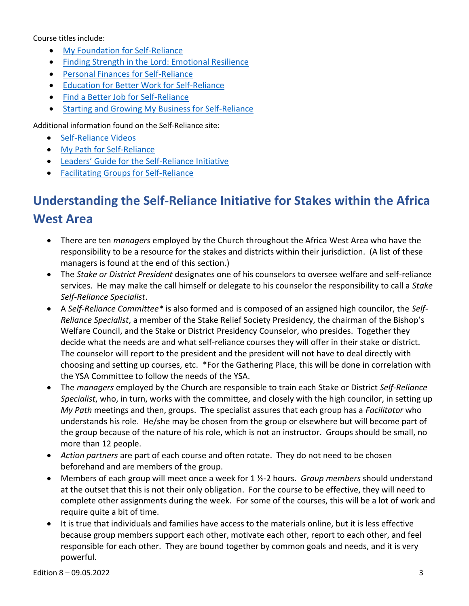Course titles include:

- [My Foundation for Self-Reliance](https://www.churchofjesuschrist.org/search?lang=eng&query=My%20Foundation%20for%20Self-Reliance&highlight=true&page=1)
- [Finding Strength in the Lord: Emotional Resilience](https://www.churchofjesuschrist.org/search?lang=eng&query=Finding%20Strength%20in%20the%20Lord%3A%20Emotional%20Resilience&highlight=true&page=1)
- [Personal Finances](https://www.churchofjesuschrist.org/search?lang=eng&query=Personal%20Finances%20for%20Self-Reliance&highlight=true&page=1) for Self-Reliance
- [Education for Better Work for Self-Reliance](https://www.churchofjesuschrist.org/search?lang=eng&query=Education%20for%20Better%20Work%20for%20Self-Reliance&highlight=true&page=1)
- [Find a Better Job for Self-Reliance](https://www.churchofjesuschrist.org/search?lang=eng&query=Find%20a%20Better%20Job%20for%20Self-Reliance&highlight=true&page=1)
- [Starting and Growing My Business for Self-Reliance](https://www.churchofjesuschrist.org/search?lang=eng&query=Starting%20and%20Growing%20My%20Business%20for%20Self-Reliance&highlight=true&page=1)

Additional information found on the Self-Reliance site:

- [Self-Reliance Videos](https://www.churchofjesuschrist.org/search?lang=eng&query=Self-Reliance%20Videos&highlight=true&page=1)
- [My Path for Self-Reliance](https://www.churchofjesuschrist.org/search?lang=eng&query=My%20Path%20for%20Self-Reliance&highlight=true&page=1)
- [Leaders' Guide for the Self](https://www.churchofjesuschrist.org/search?lang=eng&query=Leaders%E2%80%99%20Guide%20for%20the%20Self-Reliance%20Initiative&highlight=true&page=1)-Reliance Initiative
- [Facilitating Groups for Self-Reliance](https://www.churchofjesuschrist.org/search?lang=eng&query=Facilitating%20Groups%20for%20Self-Reliance&highlight=true&page=1)

# <span id="page-2-0"></span>**Understanding the Self-Reliance Initiative for Stakes within the Africa West Area**

- There are ten *managers* employed by the Church throughout the Africa West Area who have the responsibility to be a resource for the stakes and districts within their jurisdiction. (A list of these managers is found at the end of this section.)
- The *Stake or District President* designates one of his counselors to oversee welfare and self-reliance services. He may make the call himself or delegate to his counselor the responsibility to call a *Stake Self-Reliance Specialist*.
- A *Self-Reliance Committee\** is also formed and is composed of an assigned high councilor, the *Self-Reliance Specialist*, a member of the Stake Relief Society Presidency, the chairman of the Bishop's Welfare Council, and the Stake or District Presidency Counselor, who presides. Together they decide what the needs are and what self-reliance courses they will offer in their stake or district. The counselor will report to the president and the president will not have to deal directly with choosing and setting up courses, etc. \*For the Gathering Place, this will be done in correlation with the YSA Committee to follow the needs of the YSA.
- The *managers* employed by the Church are responsible to train each Stake or District *Self-Reliance Specialist*, who, in turn, works with the committee, and closely with the high councilor, in setting up *My Path* meetings and then, groups. The specialist assures that each group has a *Facilitator* who understands his role. He/she may be chosen from the group or elsewhere but will become part of the group because of the nature of his role, which is not an instructor. Groups should be small, no more than 12 people.
- *Action partners* are part of each course and often rotate. They do not need to be chosen beforehand and are members of the group.
- Members of each group will meet once a week for 1 ½-2 hours. *Group members* should understand at the outset that this is not their only obligation. For the course to be effective, they will need to complete other assignments during the week. For some of the courses, this will be a lot of work and require quite a bit of time.
- It is true that individuals and families have access to the materials online, but it is less effective because group members support each other, motivate each other, report to each other, and feel responsible for each other. They are bound together by common goals and needs, and it is very powerful.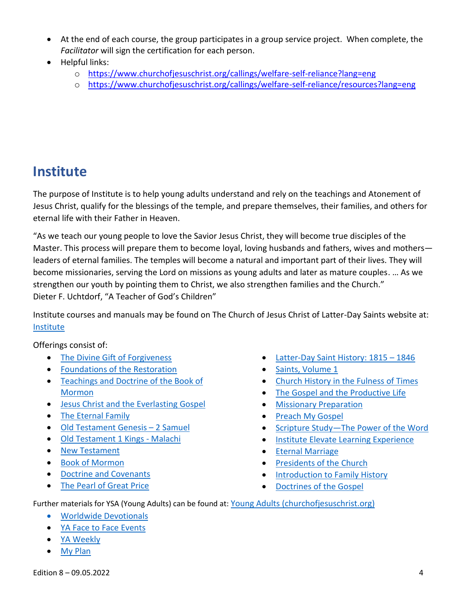- At the end of each course, the group participates in a group service project. When complete, the *Facilitator* will sign the certification for each person.
- Helpful links:
	- o <https://www.churchofjesuschrist.org/callings/welfare-self-reliance?lang=eng>
	- o <https://www.churchofjesuschrist.org/callings/welfare-self-reliance/resources?lang=eng>

# <span id="page-3-0"></span>**Institute**

The purpose of Institute is to help young adults understand and rely on the teachings and Atonement of Jesus Christ, qualify for the blessings of the temple, and prepare themselves, their families, and others for eternal life with their Father in Heaven.

"As we teach our young people to love the Savior Jesus Christ, they will become true disciples of the Master. This process will prepare them to become loyal, loving husbands and fathers, wives and mothers leaders of eternal families. The temples will become a natural and important part of their lives. They will become missionaries, serving the Lord on missions as young adults and later as mature couples. … As we strengthen our youth by pointing them to Christ, we also strengthen families and the Church." Dieter F. Uchtdorf, "A Teacher of God's Children"

Institute courses and manuals may be found on The Church of Jesus Christ of Latter-Day Saints website at: [Institute](https://www.churchofjesuschrist.org/si/institute/manuals?lang=eng)

Offerings consist of:

- [The Divine Gift of Forgiveness](https://www.churchofjesuschrist.org/study/manual/the-divine-gift-of-forgiveness-teacher-material?lang=eng)
- [Foundations of the Restoration](https://www.churchofjesuschrist.org/study/manual/foundations-of-the-restoration-class-preparation-material-2019/lesson-1-class-preparation-material-prelude-to-the-restoration?lang=eng)
- [Teachings and Doctrine of the Book of](https://www.churchofjesuschrist.org/study/manual/teachings-and-doctrine-of-the-book-of-mormon-class-prep-material-2021?lang=eng)  [Mormon](https://www.churchofjesuschrist.org/study/manual/teachings-and-doctrine-of-the-book-of-mormon-class-prep-material-2021?lang=eng)
- [Jesus Christ and the Everlasting Gospel](https://www.churchofjesuschrist.org/study/manual/jesus-christ-and-the-everlasting-gospel-student-readings/student-readings?lang=eng)
- [The Eternal Family](https://www.churchofjesuschrist.org/study/manual/the-eternal-family-student-readings/student-readings?lang=eng)
- [Old Testament](https://www.churchofjesuschrist.org/study/manual/old-testament-student-manual-genesis-2-samuel?lang=eng) Genesis 2 Samuel
- [Old Testament 1 Kings -](https://www.churchofjesuschrist.org/study/manual/old-testament-student-manual-kings-malachi?lang=eng) Malachi
- [New Testament](https://www.churchofjesuschrist.org/study/manual/new-testament-student-manual?lang=eng)
- [Book of Mormon](https://www.churchofjesuschrist.org/study/manual/book-of-mormon-student-manual?lang=eng)
- [Doctrine and Covenants](https://www.churchofjesuschrist.org/study/manual/doctrine-and-covenants-student-manual-2017?lang=eng)
- [The Pearl of Great Price](https://www.churchofjesuschrist.org/study/manual/the-pearl-of-great-price-student-manual-2018?lang=eng)
- [Latter-Day Saint History: 1815](https://www.churchofjesuschrist.org/study/manual/latter-day-saint-history-1815-1846-teacher-material?lang=eng)  1846
- [Saints, Volume 1](https://www.churchofjesuschrist.org/study/history/saints-v1/title-page?lang=eng)
- [Church History in the Fulness of Times](https://www.churchofjesuschrist.org/study/manual/church-history-in-the-fulness-of-times?lang=eng)
- [The Gospel and the Productive Life](https://www.churchofjesuschrist.org/study/manual/the-gospel-and-the-productive-life-student-manual-2018?lang=eng)
- [Missionary Preparation](https://www.churchofjesuschrist.org/study/manual/missionary-preparation-teacher-manual?lang=eng)
- [Preach My Gospel](https://www.churchofjesuschrist.org/study/manual/preach-my-gospel-a-guide-to-missionary-service?lang=eng)
- Scripture Study—[The Power of the Word](https://www.churchofjesuschrist.org/study/manual/scripture-study-the-power-of-the-word-teacher-manual?lang=eng)
- [Institute Elevate Learning Experience](https://www.churchofjesuschrist.org/study/manual/institute-elevate-learning-experience?lang=eng)
- [Eternal Marriage](https://www.churchofjesuschrist.org/study/manual/eternal-marriage-student-manual?lang=eng)
- [Presidents of the Church](https://www.churchofjesuschrist.org/study/manual/presidents-of-the-church-student-manual?lang=eng)
- [Introduction to Family History](https://www.churchofjesuschrist.org/study/manual/introduction-to-family-history-student-manual?lang=eng)
- [Doctrines of the Gospel](https://www.churchofjesuschrist.org/study/manual/doctrines-of-the-gospel-student-manual?lang=eng)

Further materials for YSA (Young Adults) can be found at: [Young Adults \(churchofjesuschrist.org\)](https://www.churchofjesuschrist.org/study/audiences/young-adults?lang=eng)

- [Worldwide Devotionals](https://www.churchofjesuschrist.org/study/adults/young-adults/worldwide-devotionals?lang=eng)
- [YA Face to Face Events](https://www.churchofjesuschrist.org/study/video/ysa-face-to-face-events?lang=eng)
- [YA Weekly](https://www.churchofjesuschrist.org/study/adults/young-adults/ya-weekly?lang=eng)
- [My Plan](https://www.churchofjesuschrist.org/study/manual/my-plan-a-guide-for-the-returned-missionary-and-mentor?lang=eng)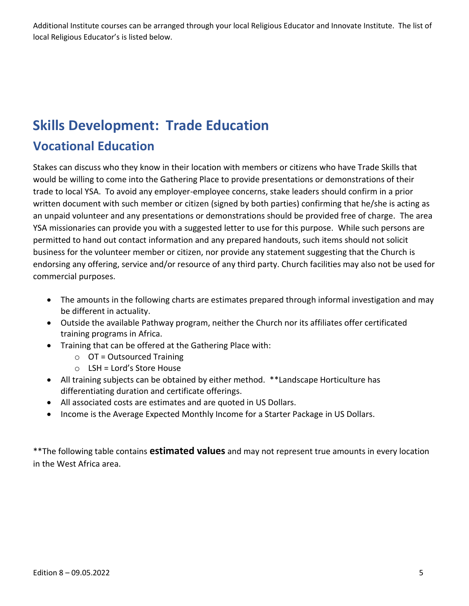Additional Institute courses can be arranged through your local Religious Educator and Innovate Institute. The list of local Religious Educator's is listed below.

# <span id="page-4-0"></span>**Skills Development: Trade Education**

### <span id="page-4-1"></span>**Vocational Education**

Stakes can discuss who they know in their location with members or citizens who have Trade Skills that would be willing to come into the Gathering Place to provide presentations or demonstrations of their trade to local YSA. To avoid any employer-employee concerns, stake leaders should confirm in a prior written document with such member or citizen (signed by both parties) confirming that he/she is acting as an unpaid volunteer and any presentations or demonstrations should be provided free of charge. The area YSA missionaries can provide you with a suggested letter to use for this purpose. While such persons are permitted to hand out contact information and any prepared handouts, such items should not solicit business for the volunteer member or citizen, nor provide any statement suggesting that the Church is endorsing any offering, service and/or resource of any third party. Church facilities may also not be used for commercial purposes.

- The amounts in the following charts are estimates prepared through informal investigation and may be different in actuality.
- Outside the available Pathway program, neither the Church nor its affiliates offer certificated training programs in Africa.
- Training that can be offered at the Gathering Place with:
	- $\circ$  OT = Outsourced Training
	- o LSH = Lord's Store House
- All training subjects can be obtained by either method. \*\*Landscape Horticulture has differentiating duration and certificate offerings.
- All associated costs are estimates and are quoted in US Dollars.
- Income is the Average Expected Monthly Income for a Starter Package in US Dollars.

\*\*The following table contains **estimated values** and may not represent true amounts in every location in the West Africa area.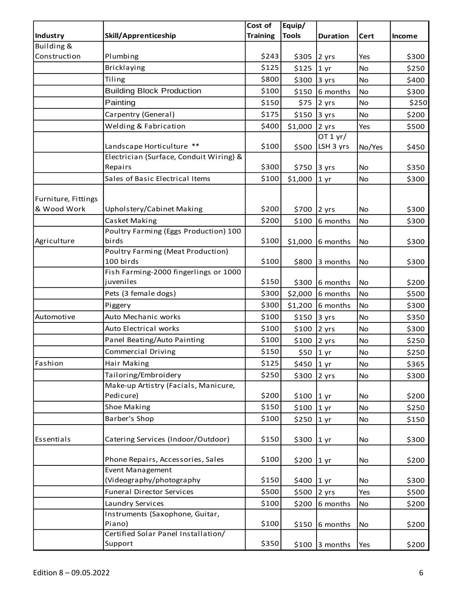|                     |                                            | Cost of         | Equip/        |                   |           |               |
|---------------------|--------------------------------------------|-----------------|---------------|-------------------|-----------|---------------|
| Industry            | <b>Skill/Apprenticeship</b>                | <b>Training</b> | <b>Tools</b>  | <b>Duration</b>   | Cert      | <b>Income</b> |
| Building &          |                                            |                 |               |                   |           |               |
| Construction        | Plumbing                                   | \$243           | \$305         | 2 yrs             | Yes       | \$300         |
|                     | Bricklaying                                | \$125           | \$125         | 1 yr              | No        | \$250         |
|                     | Tiling                                     | \$800           | \$300         | 3 yrs             | No        | \$400         |
|                     | <b>Building Block Production</b>           | \$100           | \$150         | 6 months          | <b>No</b> | \$300         |
|                     | Painting                                   | \$150           | \$75          | 2 yrs             | No        | \$250         |
|                     | Carpentry (General)                        | \$175           | \$150         | 3 yrs             | <b>No</b> | \$200         |
|                     | Welding & Fabrication                      | \$400           | \$1,000       | 2 yrs             | Yes       | \$500         |
|                     |                                            |                 |               | OT 1 yr/          |           |               |
|                     | Landscape Horticulture **                  | \$100           | \$500         | LSH 3 yrs         | No/Yes    | \$450         |
|                     | Electrician (Surface, Conduit Wiring) &    |                 |               |                   |           |               |
|                     | Repairs                                    | \$300           | \$750         | 3 yrs             | No        | \$350         |
|                     | Sales of Basic Electrical Items            | \$100           | \$1,000       | 1 yr              | <b>No</b> | \$300         |
|                     |                                            |                 |               |                   |           |               |
| Furniture, Fittings |                                            |                 |               |                   |           |               |
| & Wood Work         | Upholstery/Cabinet Making                  | \$200           | \$700         | 2 yrs             | No        | \$300         |
|                     | Casket Making                              | \$200           | \$100         | 6 months          | No        | \$300         |
|                     | Poultry Farming (Eggs Production) 100      |                 |               |                   |           |               |
| Agriculture         | birds<br>Poultry Farming (Meat Production) | \$100           | \$1,000       | 6 months          | No        | \$300         |
|                     | 100 birds                                  | \$100           | \$800         | 3 months          | No        | \$300         |
|                     | Fish Farming-2000 fingerlings or 1000      |                 |               |                   |           |               |
|                     | juveniles                                  | \$150           | \$300         | 6 months          | No        | \$200         |
|                     | Pets (3 female dogs)                       | \$300           | \$2,000       | 6 months          | <b>No</b> | \$500         |
|                     | Piggery                                    | \$300           | \$1,200       | 6 months          | No        | \$300         |
| Automotive          | Auto Mechanic works                        | \$100           | \$150         | 3 yrs             | No        | \$350         |
|                     | Auto Electrical works                      | \$100           | \$100         | 2 yrs             | No        | \$300         |
|                     | Panel Beating/Auto Painting                | \$100           | \$100         | 2 yrs             | No        | \$250         |
|                     | Commercial Driving                         | \$150           | \$50 1 yr     |                   | No        | \$250         |
| Fashion             | Hair Making                                | \$125           | \$450 1 yr    |                   | <b>No</b> | \$365         |
|                     | Tailoring/Embroidery                       | \$250           |               |                   |           |               |
|                     | Make-up Artistry (Facials, Manicure,       |                 | \$300         | 2 yrs             | No        | \$300         |
|                     | Pedicure)                                  | \$200           | \$100         | $ 1 \rangle$      | No        | \$200         |
|                     | <b>Shoe Making</b>                         | \$150           | \$100         | 1 yr              | No        | \$250         |
|                     | Barber's Shop                              | \$100           | \$250         |                   | No        | \$150         |
|                     |                                            |                 |               | 1 yr              |           |               |
| Essentials          | Catering Services (Indoor/Outdoor)         | \$150           | \$300         | $1 \,\mathrm{yr}$ | No        | \$300         |
|                     |                                            |                 |               |                   |           |               |
|                     | Phone Repairs, Accessories, Sales          | \$100           | \$200 1 yr    |                   | No        | \$200         |
|                     | <b>Event Management</b>                    |                 |               |                   |           |               |
|                     | (Videography/photography                   | \$150           | \$400 $ 1 yr$ |                   | No        | \$300         |
|                     | <b>Funeral Director Services</b>           | \$500           | \$500         | 2 yrs             | Yes       | \$500         |
|                     | Laundry Services                           | \$100           | \$200         | 6 months          | No        | \$200         |
|                     | Instruments (Saxophone, Guitar,            |                 |               |                   |           |               |
|                     | Piano)                                     | \$100           | \$150         | 6 months          | No        | \$200         |
|                     | Certified Solar Panel Installation/        |                 |               |                   |           |               |
|                     | Support                                    | \$350           |               | $$100$ 3 months   | Yes       | \$200         |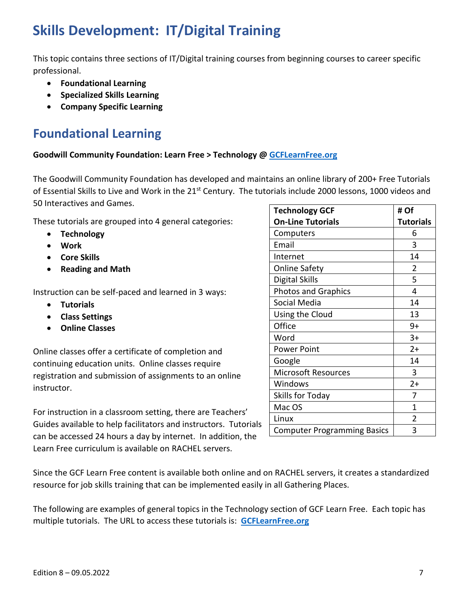# <span id="page-6-0"></span>**Skills Development: IT/Digital Training**

This topic contains three sections of IT/Digital training courses from beginning courses to career specific professional.

- **Foundational Learning**
- **Specialized Skills Learning**
- **Company Specific Learning**

# <span id="page-6-1"></span>**Foundational Learning**

#### **Goodwill Community Foundation: Learn Free > Technology [@ GCFLearnFree.org](https://edu.gcfglobal.org/en/)**

The Goodwill Community Foundation has developed and maintains an online library of 200+ Free Tutorials of Essential Skills to Live and Work in the 21<sup>st</sup> Century. The tutorials include 2000 lessons, 1000 videos and 50 Interactives and Games.

These tutorials are grouped into 4 general categories:

- **Technology**
- **Work**
- **Core Skills**
- **Reading and Math**

Instruction can be self-paced and learned in 3 ways:

- **Tutorials**
- **Class Settings**
- **Online Classes**

Online classes offer a certificate of completion and continuing education units. Online classes require registration and submission of assignments to an online instructor.

For instruction in a classroom setting, there are Teachers' Guides available to help facilitators and instructors. Tutorials can be accessed 24 hours a day by internet. In addition, the Learn Free curriculum is available on RACHEL servers.

| <b>Technology GCF</b>              | # Of             |
|------------------------------------|------------------|
| <b>On-Line Tutorials</b>           | <b>Tutorials</b> |
| Computers                          | 6                |
| Email                              | 3                |
| Internet                           | 14               |
| <b>Online Safety</b>               | 2                |
| Digital Skills                     | 5                |
| <b>Photos and Graphics</b>         | 4                |
| Social Media                       | 14               |
| Using the Cloud                    | 13               |
| Office                             | 9+               |
| Word                               | $3+$             |
| <b>Power Point</b>                 | $2+$             |
| Google                             | 14               |
| <b>Microsoft Resources</b>         | 3                |
| Windows                            | $2+$             |
| Skills for Today                   | 7                |
| Mac OS                             | 1                |
| Linux                              | 2                |
| <b>Computer Programming Basics</b> | 3                |

Since the GCF Learn Free content is available both online and on RACHEL servers, it creates a standardized resource for job skills training that can be implemented easily in all Gathering Places.

The following are examples of general topics in the Technology section of GCF Learn Free. Each topic has multiple tutorials. The URL to access these tutorials is: **[GCFLearnFree.org](https://edu.gcfglobal.org/en/)**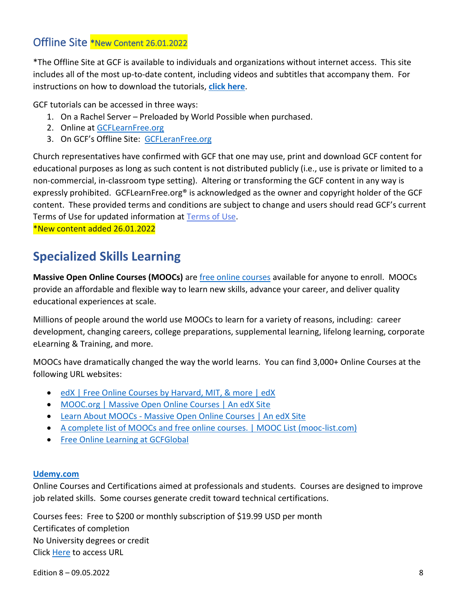#### <span id="page-7-0"></span>[Offline Site](https://edu.gcfglobal.org/en/download/all/) \*New Content 26.01.2022

\*The Offline Site at GCF is available to individuals and organizations without internet access. This site includes all of the most up-to-date content, including videos and subtitles that accompany them. For instructions on how to download the tutorials, **[click here](https://edu.gcfglobal.org/en/offline-site/)**.

GCF tutorials can be accessed in three ways:

- 1. On a Rachel Server Preloaded by World Possible when purchased.
- 2. Online at [GCFLearnFree.org](https://edu.gcfglobal.org/en/offline-site/)
- 3. On GCF's Offline Site: [GCFLeranFree.org](https://edu.gcfglobal.org/en/offline-site/)

Church representatives have [confirmed with GCF that one may use, print and download GCF content for](https://nam10.safelinks.protection.outlook.com/?url=https%3A%2F%2Fwww.gcflearnfree.org%2Finfo%2Fsupport%2Fterms&data=04%7C01%7Ctamiemondragon%40ChurchofJesusChrist.org%7C1e322b87b3c141c9706d08d9ae8bf663%7C61e6eeb35fd74aaaae3c61e8deb09b79%7C0%7C0%7C637732738443533312%7CUnknown%7CTWFpbGZsb3d8eyJWIjoiMC4wLjAwMDAiLCJQIjoiV2luMzIiLCJBTiI6Ik1haWwiLCJXVCI6Mn0%3D%7C3000&sdata=dkEfFIJDOmUXRq1%2BiLKcKWX44KK4N%2BbVhFqeez4sfNc%3D&reserved=0)  [educational purposes as long as such content is not distributed publicly \(i.e., use is private or limited to a](https://nam10.safelinks.protection.outlook.com/?url=https%3A%2F%2Fwww.gcflearnfree.org%2Finfo%2Fsupport%2Fterms&data=04%7C01%7Ctamiemondragon%40ChurchofJesusChrist.org%7C1e322b87b3c141c9706d08d9ae8bf663%7C61e6eeb35fd74aaaae3c61e8deb09b79%7C0%7C0%7C637732738443533312%7CUnknown%7CTWFpbGZsb3d8eyJWIjoiMC4wLjAwMDAiLCJQIjoiV2luMzIiLCJBTiI6Ik1haWwiLCJXVCI6Mn0%3D%7C3000&sdata=dkEfFIJDOmUXRq1%2BiLKcKWX44KK4N%2BbVhFqeez4sfNc%3D&reserved=0)  [non-commercial, in-classroom type setting\). Altering or transforming the GCF content in any way is](https://nam10.safelinks.protection.outlook.com/?url=https%3A%2F%2Fwww.gcflearnfree.org%2Finfo%2Fsupport%2Fterms&data=04%7C01%7Ctamiemondragon%40ChurchofJesusChrist.org%7C1e322b87b3c141c9706d08d9ae8bf663%7C61e6eeb35fd74aaaae3c61e8deb09b79%7C0%7C0%7C637732738443533312%7CUnknown%7CTWFpbGZsb3d8eyJWIjoiMC4wLjAwMDAiLCJQIjoiV2luMzIiLCJBTiI6Ik1haWwiLCJXVCI6Mn0%3D%7C3000&sdata=dkEfFIJDOmUXRq1%2BiLKcKWX44KK4N%2BbVhFqeez4sfNc%3D&reserved=0)  [expressly prohibited. GCFLearnFree.org® is acknowledged as the owner and copyright holder of the GCF](https://nam10.safelinks.protection.outlook.com/?url=https%3A%2F%2Fwww.gcflearnfree.org%2Finfo%2Fsupport%2Fterms&data=04%7C01%7Ctamiemondragon%40ChurchofJesusChrist.org%7C1e322b87b3c141c9706d08d9ae8bf663%7C61e6eeb35fd74aaaae3c61e8deb09b79%7C0%7C0%7C637732738443533312%7CUnknown%7CTWFpbGZsb3d8eyJWIjoiMC4wLjAwMDAiLCJQIjoiV2luMzIiLCJBTiI6Ik1haWwiLCJXVCI6Mn0%3D%7C3000&sdata=dkEfFIJDOmUXRq1%2BiLKcKWX44KK4N%2BbVhFqeez4sfNc%3D&reserved=0)  [content. These provided terms and conditions are subject to change and users should read GCF's current](https://nam10.safelinks.protection.outlook.com/?url=https%3A%2F%2Fwww.gcflearnfree.org%2Finfo%2Fsupport%2Fterms&data=04%7C01%7Ctamiemondragon%40ChurchofJesusChrist.org%7C1e322b87b3c141c9706d08d9ae8bf663%7C61e6eeb35fd74aaaae3c61e8deb09b79%7C0%7C0%7C637732738443533312%7CUnknown%7CTWFpbGZsb3d8eyJWIjoiMC4wLjAwMDAiLCJQIjoiV2luMzIiLCJBTiI6Ik1haWwiLCJXVCI6Mn0%3D%7C3000&sdata=dkEfFIJDOmUXRq1%2BiLKcKWX44KK4N%2BbVhFqeez4sfNc%3D&reserved=0)  [Terms of Use for updated information at Terms](https://nam10.safelinks.protection.outlook.com/?url=https%3A%2F%2Fwww.gcflearnfree.org%2Finfo%2Fsupport%2Fterms&data=04%7C01%7Ctamiemondragon%40ChurchofJesusChrist.org%7C1e322b87b3c141c9706d08d9ae8bf663%7C61e6eeb35fd74aaaae3c61e8deb09b79%7C0%7C0%7C637732738443533312%7CUnknown%7CTWFpbGZsb3d8eyJWIjoiMC4wLjAwMDAiLCJQIjoiV2luMzIiLCJBTiI6Ik1haWwiLCJXVCI6Mn0%3D%7C3000&sdata=dkEfFIJDOmUXRq1%2BiLKcKWX44KK4N%2BbVhFqeez4sfNc%3D&reserved=0) of Use.

\*New content added 26.01.2022

### <span id="page-7-1"></span>**Specialized Skills Learning**

**Massive Open Online Courses (MOOCs)** are [free online courses](https://www.edx.org/?hs_analytics_source=referrals&utm_campaign=Mooc.org&utm_source=mooc.org&utm_medium=referral&utm_content=Free-Online-Courses) available for anyone to enroll. MOOCs provide an affordable and flexible way to learn new skills, advance your career, and deliver quality educational experiences at scale.

Millions of people around the world use MOOCs to learn for a variety of reasons, including: career development, changing careers, college preparations, supplemental learning, lifelong learning, corporate eLearning & Training, and more.

MOOCs have dramatically changed the way the world learns. You can find 3,000+ Online Courses at the following URL websites:

- [edX | Free Online Courses by Harvard, MIT, & more | edX](https://www.edx.org/?hs_analytics_source=referrals&utm_campaign=Mooc.org&utm_source=mooc.org&utm_medium=referral&utm_content=Free-Online-Courses)
- [MOOC.org | Massive Open Online Courses | An edX Site](https://www.mooc.org/)
- Learn About MOOCs [Massive Open Online Courses | An edX Site](https://www.mooc.org/about-moocs)
- [A complete list of MOOCs and free online courses. | MOOC List \(mooc-list.com\)](https://www.mooc-list.com/)
- [Free Online Learning at GCFGlobal](https://edu.gcfglobal.org/en/)

#### **[Udemy.com](https://www.udemy.com/)**

Online Courses and Certifications aimed at professionals and students. Courses are designed to improve job related skills. Some courses generate credit toward technical certifications.

Courses fees: Free to \$200 or monthly subscription of \$19.99 USD per month Certificates of completion No University degrees or credit Click [Here](https://www.udemy.com/) to access URL

Edition 8 – 09.05.2022 8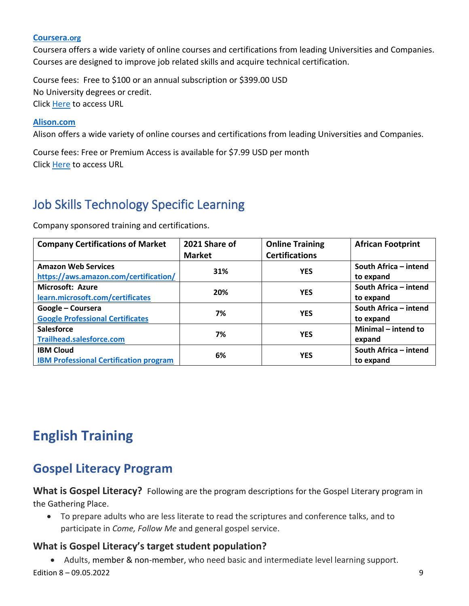#### **[Coursera](https://www.coursera.org/).org**

Coursera offers a wide variety of online courses and certifications from leading Universities and Companies. Courses are designed to improve job related skills and acquire technical certification.

Course fees: Free to \$100 or an annual subscription or \$399.00 USD No University degrees or credit. Click [Here](https://www.coursera.org/) to access URL

#### **[Alison.com](https://alison.com/)**

Alison offers a wide variety of online courses and certifications from leading Universities and Companies.

Course fees: Free or Premium Access is available for \$7.99 USD per month Click [Here](https://alison.com/) to access URL

## <span id="page-8-0"></span>Job Skills Technology Specific Learning

Company sponsored training and certifications.

| <b>Company Certifications of Market</b>       | 2021 Share of    | <b>Online Training</b> | <b>African Footprint</b> |  |                       |
|-----------------------------------------------|------------------|------------------------|--------------------------|--|-----------------------|
|                                               | <b>Market</b>    | <b>Certifications</b>  |                          |  |                       |
| <b>Amazon Web Services</b>                    | 31%              | <b>YES</b>             | South Africa - intend    |  |                       |
| https://aws.amazon.com/certification/         |                  |                        | to expand                |  |                       |
| <b>Microsoft: Azure</b>                       | 20%              | <b>YES</b>             | South Africa - intend    |  |                       |
| learn.microsoft.com/certificates              |                  |                        | to expand                |  |                       |
| Google - Coursera                             | 7%               | <b>YES</b>             | South Africa - intend    |  |                       |
| <b>Google Professional Certificates</b>       |                  |                        | to expand                |  |                       |
| <b>Salesforce</b>                             | 7%               | <b>YES</b>             | Minimal - intend to      |  |                       |
| <b>Trailhead.salesforce.com</b>               |                  |                        | expand                   |  |                       |
| <b>IBM Cloud</b>                              | 6%<br><b>YES</b> |                        |                          |  | South Africa - intend |
| <b>IBM Professional Certification program</b> |                  |                        |                          |  | to expand             |

# <span id="page-8-1"></span>**English Training**

### <span id="page-8-2"></span>**Gospel Literacy Program**

**What is Gospel Literacy?** Following are the program descriptions for the Gospel Literary program in the Gathering Place.

• To prepare adults who are less literate to read the scriptures and conference talks, and to participate in *Come, Follow Me* and general gospel service.

#### **What is Gospel Literacy's target student population?**

Edition 8 – 09.05.2022 9 • Adults, member & non-member, who need basic and intermediate level learning support.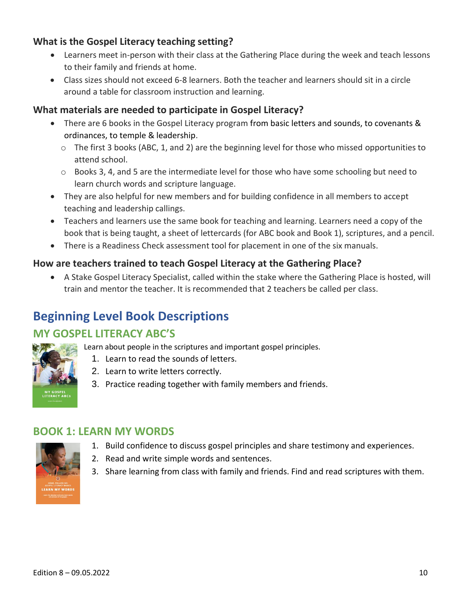#### **What is the Gospel Literacy teaching setting?**

- Learners meet in-person with their class at the Gathering Place during the week and teach lessons to their family and friends at home.
- Class sizes should not exceed 6-8 learners. Both the teacher and learners should sit in a circle around a table for classroom instruction and learning.

#### **What materials are needed to participate in Gospel Literacy?**

- There are 6 books in the Gospel Literacy program from basic letters and sounds, to covenants & ordinances, to temple & leadership.
	- $\circ$  The first 3 books (ABC, 1, and 2) are the beginning level for those who missed opportunities to attend school.
	- $\circ$  Books 3, 4, and 5 are the intermediate level for those who have some schooling but need to learn church words and scripture language.
- They are also helpful for new members and for building confidence in all members to accept teaching and leadership callings.
- Teachers and learners use the same book for teaching and learning. Learners need a copy of the book that is being taught, a sheet of lettercards (for ABC book and Book 1), scriptures, and a pencil.
- There is a Readiness Check assessment tool for placement in one of the six manuals.

#### **How are teachers trained to teach Gospel Literacy at the Gathering Place?**

• A Stake Gospel Literacy Specialist, called within the stake where the Gathering Place is hosted, will train and mentor the teacher. It is recommended that 2 teachers be called per class.

### <span id="page-9-0"></span>**Beginning Level Book Descriptions**

### **MY GOSPEL LITERACY ABC'S**

Learn about people in the scriptures and important gospel principles.

- 1. Learn to read the sounds of letters.
- 2. Learn to write letters correctly.
- 3. Practice reading together with family members and friends.

#### **BOOK 1: LEARN MY WORDS**

- 1. Build confidence to discuss gospel principles and share testimony and experiences.
- 2. Read and write simple words and sentences.
- 3. Share learning from class with family and friends. Find and read scriptures with them.

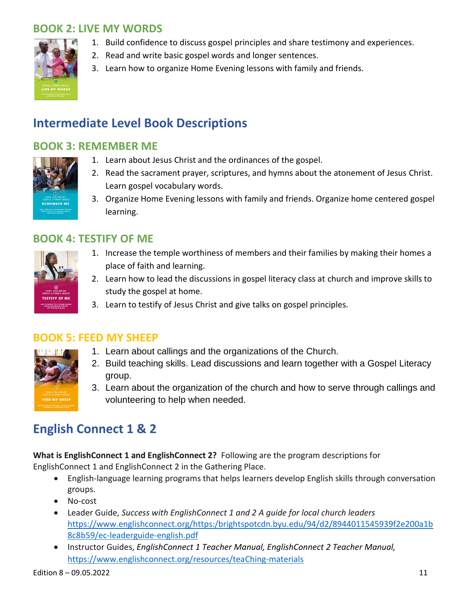### **BOOK 2: LIVE MY WORDS**



- 1. Build confidence to discuss gospel principles and share testimony and experiences.
- 2. Read and write basic gospel words and longer sentences.
- 3. Learn how to organize Home Evening lessons with family and friends.

### <span id="page-10-0"></span>**Intermediate Level Book Descriptions**

#### **BOOK 3: REMEMBER ME**



- 1. Learn about Jesus Christ and the ordinances of the gospel.
- 2. Read the sacrament prayer, scriptures, and hymns about the atonement of Jesus Christ. Learn gospel vocabulary words.
- 3. Organize Home Evening lessons with family and friends. Organize home centered gospel learning.

#### **BOOK 4: TESTIFY OF ME**



- 1. Increase the temple worthiness of members and their families by making their homes a place of faith and learning.
- 2. Learn how to lead the discussions in gospel literacy class at church and improve skills to study the gospel at home.
- 3. Learn to testify of Jesus Christ and give talks on gospel principles.



#### **BOOK 5: FEED MY SHEEP**

- 1. Learn about callings and the organizations of the Church.
- 2. Build teaching skills. Lead discussions and learn together with a Gospel Literacy group.
- 3. Learn about the organization of the church and how to serve through callings and volunteering to help when needed.

### <span id="page-10-1"></span>**English Connect 1 & 2**

**What is EnglishConnect 1 and EnglishConnect 2?** Following are the program descriptions for EnglishConnect 1 and EnglishConnect 2 in the Gathering Place.

- English-language learning programs that helps learners develop English skills through conversation groups.
- No-cost
- Leader Guide, *Success with EnglishConnect 1 and 2 A guide for local church leaders*  [https://www.englishconnect.org/https:/brightspotcdn.byu.edu/94/d2/8944011545939f2e200a1b](https://www.englishconnect.org/https:/brightspotcdn.byu.edu/94/d2/8944011545939f2e200a1b8c8b59/ec-leaderguide-english.pdf) [8c8b59/ec-leaderguide-english.pdf](https://www.englishconnect.org/https:/brightspotcdn.byu.edu/94/d2/8944011545939f2e200a1b8c8b59/ec-leaderguide-english.pdf)
- Instructor Guides, *EnglishConnect 1 Teacher Manual, EnglishConnect 2 Teacher Manual,* [https://www.englishconnect.org/resources/teaChing-materials](https://www.englishconnect.org/resources/teaching-materials)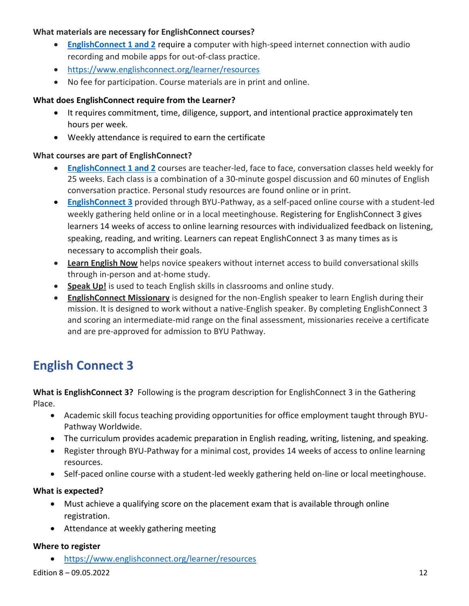#### **What materials are necessary for EnglishConnect courses?**

- **[EnglishConnect 1 and 2](https://www.englishconnect.org/learner/resources)** require a computer with high-speed internet connection with audio recording and mobile apps for out-of-class practice.
- <https://www.englishconnect.org/learner/resources>
- No fee for participation. Course materials are in print and online.

#### **What does EnglishConnect require from the Learner?**

- It requires commitment, time, diligence, support, and intentional practice approximately ten hours per week.
- Weekly attendance is required to earn the certificate

#### **What courses are part of EnglishConnect?**

- **[EnglishConnect 1 and 2](https://www.englishconnect.org/learner/resources)** courses are teacher-led, face to face, conversation classes held weekly for 25 weeks. Each class is a combination of a 30-minute gospel discussion and 60 minutes of English conversation practice. Personal study resources are found online or in print.
- **[EnglishConnect 3](https://ec3.englishconnect.org/my-plan)** provided through BYU-Pathway, as a self-paced online course with a student-led weekly gathering held online or in a local meetinghouse. Registering for EnglishConnect 3 gives learners 14 weeks of access to online learning resources with individualized feedback on listening, speaking, reading, and writing. Learners can repeat EnglishConnect 3 as many times as is necessary to accomplish their goals.
- **Learn English Now** helps novice speakers without internet access to build conversational skills through in-person and at-home study.
- **Speak Up!** is used to teach English skills in classrooms and online study.
- **EnglishConnect Missionary** is designed for the non-English speaker to learn English during their mission. It is designed to work without a native-English speaker. By completing EnglishConnect 3 and scoring an intermediate-mid range on the final assessment, missionaries receive a certificate and are pre-approved for admission to BYU Pathway.

### <span id="page-11-0"></span>**English Connect 3**

**What is EnglishConnect 3?** Following is the program description for EnglishConnect 3 in the Gathering Place.

- Academic skill focus teaching providing opportunities for office employment taught through BYU-Pathway Worldwide.
- The curriculum provides academic preparation in English reading, writing, listening, and speaking.
- Register through BYU-Pathway for a minimal cost, provides 14 weeks of access to online learning resources.
- Self-paced online course with a student-led weekly gathering held on-line or local meetinghouse.

#### **What is expected?**

- Must achieve a qualifying score on the placement exam that is available through online registration.
- Attendance at weekly gathering meeting

#### **Where to register**

• <https://www.englishconnect.org/learner/resources>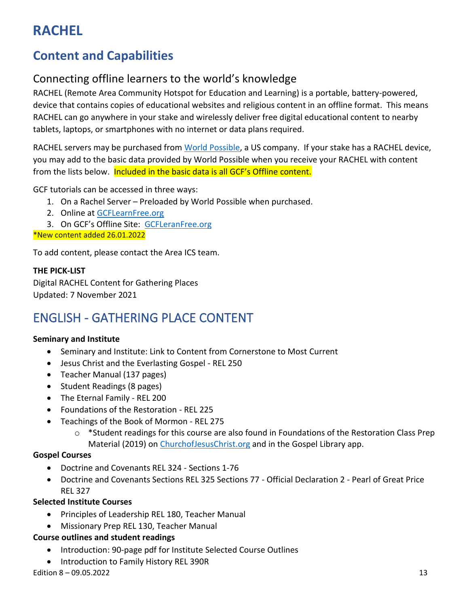# <span id="page-12-0"></span>**RACHEL**

# <span id="page-12-1"></span>**Content and Capabilities**

### Connecting offline learners to the world's knowledge

RACHEL (Remote Area Community Hotspot for Education and Learning) is a portable, battery-powered, device that contains copies of educational websites and religious content in an offline format. This means RACHEL can go anywhere in your stake and wirelessly deliver free digital educational content to nearby tablets, laptops, or smartphones with no internet or data plans required.

RACHEL servers may be purchased from [World Possible,](https://worldpossible.org/) a US company. If your stake has a RACHEL device, you may add to the basic data provided by World Possible when you receive your RACHEL with content from the lists below. Included in the basic data is all GCF's Offline content.

GCF tutorials can be accessed in three ways:

- 1. On a Rachel Server Preloaded by World Possible when purchased.
- 2. Online at [GCFLearnFree.org](https://edu.gcfglobal.org/en/offline-site/)

3. On GCF's Offline Site: [GCFLeranFree.org](https://edu.gcfglobal.org/en/offline-site/)

\*New content added 26.01.2022

To add content, please contact the Area ICS team.

#### **THE PICK-LIST**

Digital RACHEL Content for Gathering Places Updated: 7 November 2021

# <span id="page-12-2"></span>ENGLISH - GATHERING PLACE CONTENT

#### **Seminary and Institute**

- Seminary and Institute: Link to Content from Cornerstone to Most Current
- Jesus Christ and the Everlasting Gospel REL 250
- Teacher Manual (137 pages)
- Student Readings (8 pages)
- The Eternal Family REL 200
- Foundations of the Restoration REL 225
- Teachings of the Book of Mormon REL 275
	- $\circ$  \*Student readings for this course are also found in Foundations of the Restoration Class Prep Material (2019) on [ChurchofJesusChrist.org](https://www.churchofjesuschrist.org/?lang=eng) and in the Gospel Library app.

#### **Gospel Courses**

- Doctrine and Covenants REL 324 Sections 1-76
- Doctrine and Covenants Sections REL 325 Sections 77 Official Declaration 2 Pearl of Great Price REL 327

#### **Selected Institute Courses**

- Principles of Leadership REL 180, Teacher Manual
- Missionary Prep REL 130, Teacher Manual

#### **Course outlines and student readings**

- Introduction: 90-page pdf for Institute Selected Course Outlines
- Introduction to Family History REL 390R

Edition 8 – 09.05.2022 13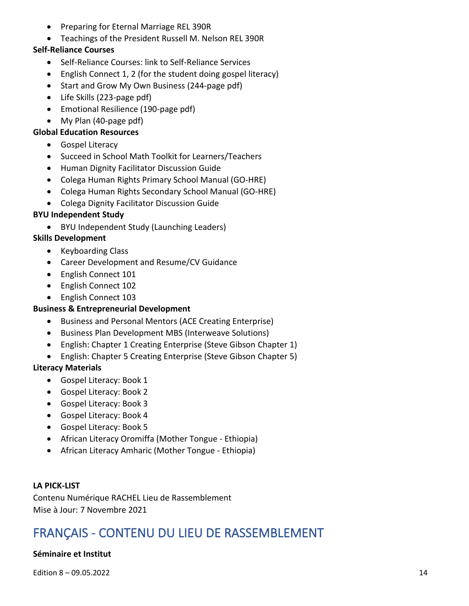- Preparing for Eternal Marriage REL 390R
- Teachings of the President Russell M. Nelson REL 390R

#### **Self-Reliance Courses**

- Self-Reliance Courses: link to Self-Reliance Services
- English Connect 1, 2 (for the student doing gospel literacy)
- Start and Grow My Own Business (244-page pdf)
- Life Skills (223-page pdf)
- Emotional Resilience (190-page pdf)
- My Plan (40-page pdf)

#### **Global Education Resources**

- Gospel Literacy
- Succeed in School Math Toolkit for Learners/Teachers
- Human Dignity Facilitator Discussion Guide
- Colega Human Rights Primary School Manual (GO-HRE)
- Colega Human Rights Secondary School Manual (GO-HRE)
- Colega Dignity Facilitator Discussion Guide

#### **BYU Independent Study**

• BYU Independent Study (Launching Leaders)

#### **Skills Development**

- Keyboarding Class
- Career Development and Resume/CV Guidance
- English Connect 101
- English Connect 102
- English Connect 103

#### **Business & Entrepreneurial Development**

- Business and Personal Mentors (ACE Creating Enterprise)
- Business Plan Development MBS (Interweave Solutions)
- English: Chapter 1 Creating Enterprise (Steve Gibson Chapter 1)
- English: Chapter 5 Creating Enterprise (Steve Gibson Chapter 5)

#### **Literacy Materials**

- Gospel Literacy: Book 1
- Gospel Literacy: Book 2
- Gospel Literacy: Book 3
- Gospel Literacy: Book 4
- Gospel Literacy: Book 5
- African Literacy Oromiffa (Mother Tongue Ethiopia)
- African Literacy Amharic (Mother Tongue Ethiopia)

#### **LA PICK-LIST**

Contenu Numérique RACHEL Lieu de Rassemblement Mise à Jour: 7 Novembre 2021

### <span id="page-13-0"></span>FRANÇAIS - CONTENU DU LIEU DE RASSEMBLEMENT

#### **Séminaire et Institut**

Edition 8 – 09.05.2022 2001 14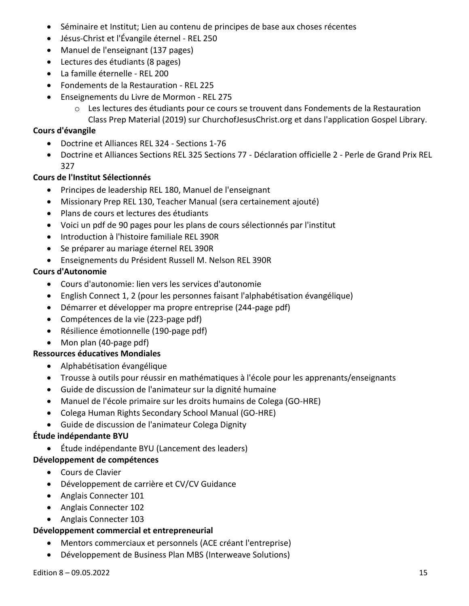- Séminaire et Institut; Lien au contenu de principes de base aux choses récentes
- Jésus-Christ et l'Évangile éternel REL 250
- Manuel de l'enseignant (137 pages)
- Lectures des étudiants (8 pages)
- La famille éternelle REL 200
- Fondements de la Restauration REL 225
- Enseignements du Livre de Mormon REL 275
	- o Les lectures des étudiants pour ce cours se trouvent dans Fondements de la Restauration Class Prep Material (2019) sur ChurchofJesusChrist.org et dans l'application Gospel Library.

#### **Cours d'évangile**

- Doctrine et Alliances REL 324 Sections 1-76
- Doctrine et Alliances Sections REL 325 Sections 77 Déclaration officielle 2 Perle de Grand Prix REL 327

#### **Cours de l'Institut Sélectionnés**

- Principes de leadership REL 180, Manuel de l'enseignant
- Missionary Prep REL 130, Teacher Manual (sera certainement ajouté)
- Plans de cours et lectures des étudiants
- Voici un pdf de 90 pages pour les plans de cours sélectionnés par l'institut
- Introduction à l'histoire familiale REL 390R
- Se préparer au mariage éternel REL 390R
- Enseignements du Président Russell M. Nelson REL 390R

#### **Cours d'Autonomie**

- Cours d'autonomie: lien vers les services d'autonomie
- English Connect 1, 2 (pour les personnes faisant l'alphabétisation évangélique)
- Démarrer et développer ma propre entreprise (244-page pdf)
- Compétences de la vie (223-page pdf)
- Résilience émotionnelle (190-page pdf)
- Mon plan (40-page pdf)

#### **Ressources éducatives Mondiales**

- Alphabétisation évangélique
- Trousse à outils pour réussir en mathématiques à l'école pour les apprenants/enseignants
- Guide de discussion de l'animateur sur la dignité humaine
- Manuel de l'école primaire sur les droits humains de Colega (GO-HRE)
- Colega Human Rights Secondary School Manual (GO-HRE)
- Guide de discussion de l'animateur Colega Dignity

#### **Étude indépendante BYU**

• Étude indépendante BYU (Lancement des leaders)

#### **Développement de compétences**

- Cours de Clavier
- Développement de carrière et CV/CV Guidance
- Anglais Connecter 101
- Anglais Connecter 102
- Anglais Connecter 103

#### **Développement commercial et entrepreneurial**

- Mentors commerciaux et personnels (ACE créant l'entreprise)
- Développement de Business Plan MBS (Interweave Solutions)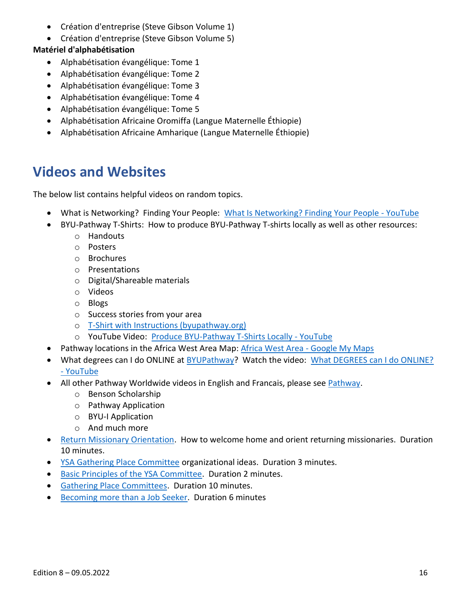- Création d'entreprise (Steve Gibson Volume 1)
- Création d'entreprise (Steve Gibson Volume 5)

#### **Matériel d'alphabétisation**

- Alphabétisation évangélique: Tome 1
- Alphabétisation évangélique: Tome 2
- Alphabétisation évangélique: Tome 3
- Alphabétisation évangélique: Tome 4
- Alphabétisation évangélique: Tome 5
- Alphabétisation Africaine Oromiffa (Langue Maternelle Éthiopie)
- Alphabétisation Africaine Amharique (Langue Maternelle Éthiopie)

### <span id="page-15-0"></span>**Videos and Websites**

The below list contains helpful videos on random topics.

- What is Networking? Finding Your People: [What Is Networking? Finding Your People -](https://www.youtube.com/watch?v=MAvDvBegYNA) YouTube
- BYU-Pathway T-Shirts: How to produce BYU-Pathway T-shirts locally as well as other resources:
	- o Handouts
	- o Posters
	- o Brochures
	- o Presentations
	- o Digital/Shareable materials
	- o Videos
	- o Blogs
	- o Success stories from your area
	- o [T-Shirt with Instructions \(byupathway.org\)](https://www.byupathway.org/t-shirt-with-instructions-pdf.pdf)
	- o YouTube Video: [Produce BYU-Pathway T-Shirts Locally -](https://www.youtube.com/watch?v=DAGw2YjkBDQ) YouTube
- Pathway locations in the Africa West Area Map: [Africa West Area -](https://www.google.com/maps/d/u/0/viewer?mid=1Jdr9PEYmVmjmp3tNRSofQljZ4OPxFqIe&ll=7.262541628160456%2C-2.186695799999989&z=6) Google My Maps
- What degrees can I do ONLINE at **BYUPathway?** Watch the video: What DEGREES can I do ONLINE? - [YouTube](https://www.youtube.com/watch?v=Q38os0pzN3s)
- All other Pathway Worldwide videos in English and Francais, please see [Pathway.](https://www.youtube.com/channel/UCrtnOqoTXGLFS3VNxqtQhgg/videos)
	- o Benson Scholarship
	- o Pathway Application
	- o BYU-I Application
	- o And much more
- [Return Missionary Orientation.](https://www.youtube.com/watch?v=0zzyO9mCvIE) How to welcome home and orient returning missionaries. Duration 10 minutes.
- [YSA Gathering Place Committee](https://www.youtube.com/watch?v=9bMjHufW5l8) organizational ideas. Duration 3 minutes.
- [Basic Principles of the YSA Committee.](https://www.youtube.com/watch?v=N3nKEC-K1S4) Duration 2 minutes.
- [Gathering Place Committees.](https://www.youtube.com/watch?v=sl94a9Z8J0E) Duration 10 minutes.
- [Becoming more than a Job Seeker.](https://www.youtube.com/watch?v=oPOD-Ke6tfk) Duration 6 minutes